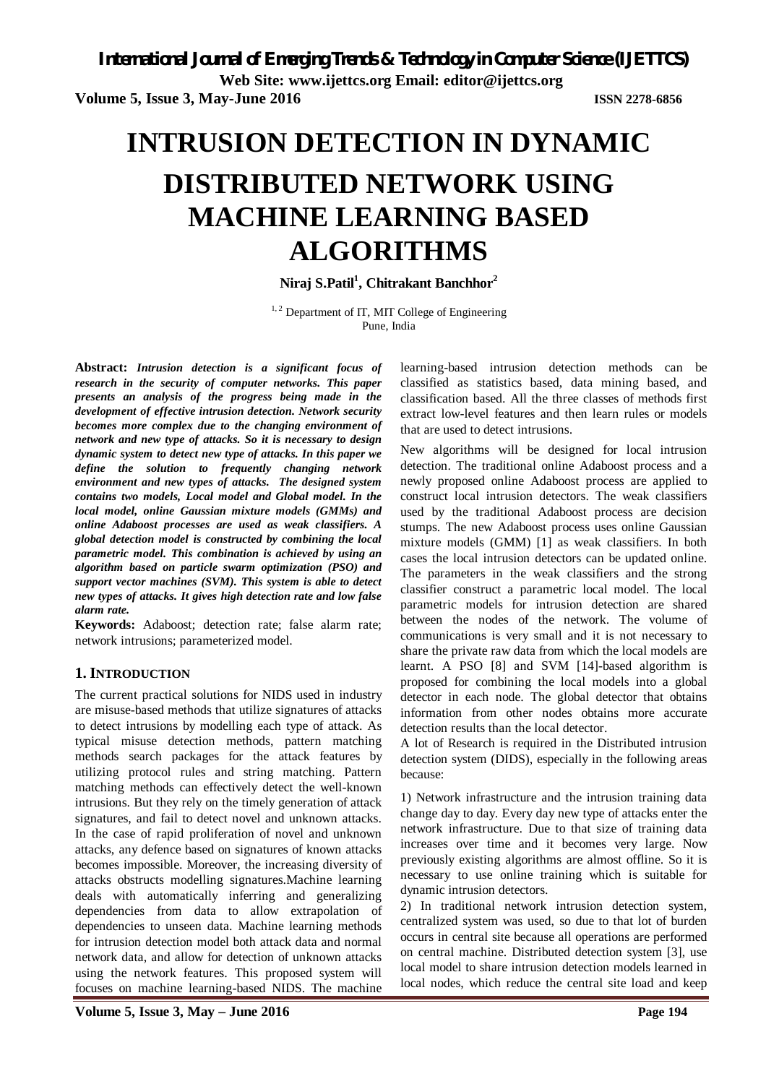# **INTRUSION DETECTION IN DYNAMIC DISTRIBUTED NETWORK USING MACHINE LEARNING BASED ALGORITHMS**

**Niraj S.Patil<sup>1</sup> , Chitrakant Banchhor<sup>2</sup>**

<sup>1, 2</sup> Department of IT, MIT College of Engineering Pune, India

**Abstract:** *Intrusion detection is a significant focus of research in the security of computer networks. This paper presents an analysis of the progress being made in the development of effective intrusion detection. Network security becomes more complex due to the changing environment of network and new type of attacks. So it is necessary to design dynamic system to detect new type of attacks. In this paper we define the solution to frequently changing network environment and new types of attacks. The designed system contains two models, Local model and Global model. In the local model, online Gaussian mixture models (GMMs) and online Adaboost processes are used as weak classifiers. A global detection model is constructed by combining the local parametric model. This combination is achieved by using an algorithm based on particle swarm optimization (PSO) and support vector machines (SVM). This system is able to detect new types of attacks. It gives high detection rate and low false alarm rate.*

**Keywords:** Adaboost; detection rate; false alarm rate; network intrusions; parameterized model.

## **1. INTRODUCTION**

The current practical solutions for NIDS used in industry are misuse-based methods that utilize signatures of attacks to detect intrusions by modelling each type of attack. As typical misuse detection methods, pattern matching methods search packages for the attack features by utilizing protocol rules and string matching. Pattern matching methods can effectively detect the well-known intrusions. But they rely on the timely generation of attack signatures, and fail to detect novel and unknown attacks. In the case of rapid proliferation of novel and unknown attacks, any defence based on signatures of known attacks becomes impossible. Moreover, the increasing diversity of attacks obstructs modelling signatures.Machine learning deals with automatically inferring and generalizing dependencies from data to allow extrapolation of dependencies to unseen data. Machine learning methods for intrusion detection model both attack data and normal network data, and allow for detection of unknown attacks using the network features. This proposed system will focuses on machine learning-based NIDS. The machine

learning-based intrusion detection methods can be classified as statistics based, data mining based, and classification based. All the three classes of methods first extract low-level features and then learn rules or models that are used to detect intrusions.

New algorithms will be designed for local intrusion detection. The traditional online Adaboost process and a newly proposed online Adaboost process are applied to construct local intrusion detectors. The weak classifiers used by the traditional Adaboost process are decision stumps. The new Adaboost process uses online Gaussian mixture models (GMM) [1] as weak classifiers. In both cases the local intrusion detectors can be updated online. The parameters in the weak classifiers and the strong classifier construct a parametric local model. The local parametric models for intrusion detection are shared between the nodes of the network. The volume of communications is very small and it is not necessary to share the private raw data from which the local models are learnt. A PSO [8] and SVM [14]-based algorithm is proposed for combining the local models into a global detector in each node. The global detector that obtains information from other nodes obtains more accurate detection results than the local detector.

A lot of Research is required in the Distributed intrusion detection system (DIDS), especially in the following areas because:

1) Network infrastructure and the intrusion training data change day to day. Every day new type of attacks enter the network infrastructure. Due to that size of training data increases over time and it becomes very large. Now previously existing algorithms are almost offline. So it is necessary to use online training which is suitable for dynamic intrusion detectors.

2) In traditional network intrusion detection system, centralized system was used, so due to that lot of burden occurs in central site because all operations are performed on central machine. Distributed detection system [3], use local model to share intrusion detection models learned in local nodes, which reduce the central site load and keep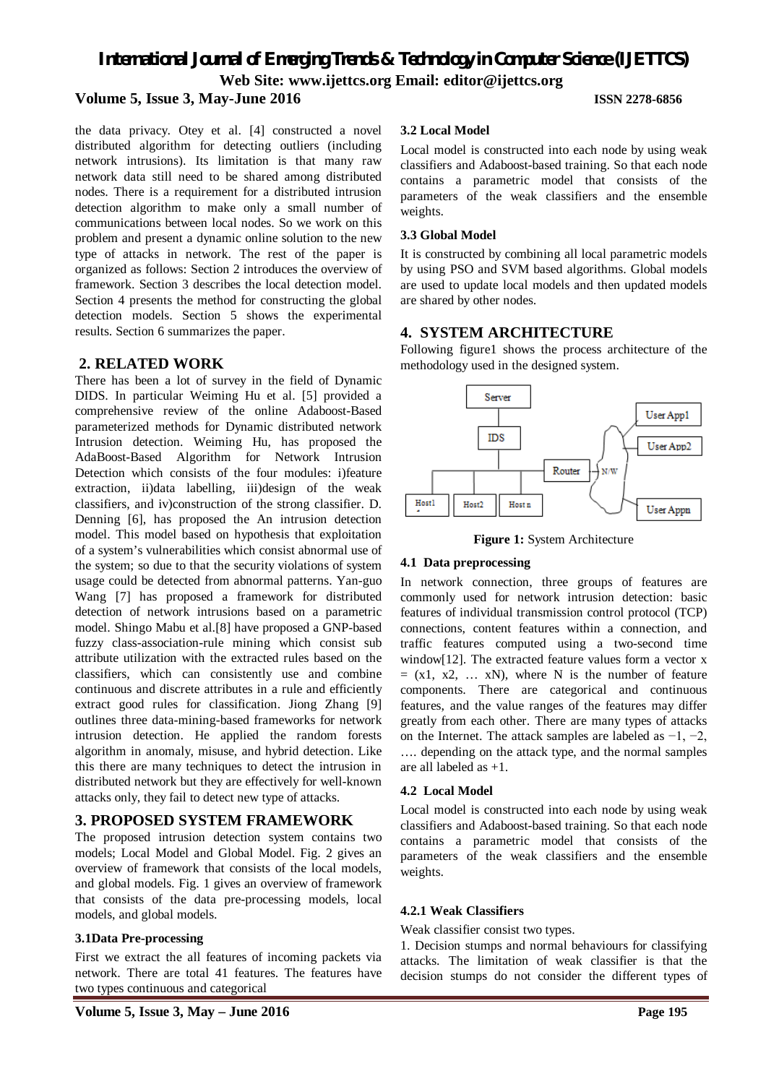*International Journal of Emerging Trends & Technology in Computer Science (IJETTCS)* **Web Site: www.ijettcs.org Email: editor@ijettcs.org** 

#### **Volume 5, Issue 3, May-June 2016 ISSN 2278-6856**

the data privacy. Otey et al. [4] constructed a novel distributed algorithm for detecting outliers (including network intrusions). Its limitation is that many raw network data still need to be shared among distributed nodes. There is a requirement for a distributed intrusion detection algorithm to make only a small number of communications between local nodes. So we work on this problem and present a dynamic online solution to the new type of attacks in network. The rest of the paper is organized as follows: Section 2 introduces the overview of framework. Section 3 describes the local detection model. Section 4 presents the method for constructing the global detection models. Section 5 shows the experimental results. Section 6 summarizes the paper.

#### **2. RELATED WORK**

There has been a lot of survey in the field of Dynamic DIDS. In particular Weiming Hu et al. [5] provided a comprehensive review of the online Adaboost-Based parameterized methods for Dynamic distributed network Intrusion detection. Weiming Hu, has proposed the AdaBoost-Based Algorithm for Network Intrusion Detection which consists of the four modules: i)feature extraction, ii)data labelling, iii)design of the weak classifiers, and iv)construction of the strong classifier. D. Denning [6], has proposed the An intrusion detection model. This model based on hypothesis that exploitation of a system's vulnerabilities which consist abnormal use of the system; so due to that the security violations of system usage could be detected from abnormal patterns. Yan-guo Wang [7] has proposed a framework for distributed detection of network intrusions based on a parametric model. Shingo Mabu et al.[8] have proposed a GNP-based fuzzy class-association-rule mining which consist sub attribute utilization with the extracted rules based on the classifiers, which can consistently use and combine continuous and discrete attributes in a rule and efficiently extract good rules for classification. Jiong Zhang [9] outlines three data-mining-based frameworks for network intrusion detection. He applied the random forests algorithm in anomaly, misuse, and hybrid detection. Like this there are many techniques to detect the intrusion in distributed network but they are effectively for well-known attacks only, they fail to detect new type of attacks.

### **3. PROPOSED SYSTEM FRAMEWORK**

The proposed intrusion detection system contains two models; Local Model and Global Model. Fig. 2 gives an overview of framework that consists of the local models, and global models. Fig. 1 gives an overview of framework that consists of the data pre-processing models, local models, and global models.

#### **3.1Data Pre-processing**

First we extract the all features of incoming packets via network. There are total 41 features. The features have two types continuous and categorical

#### **3.2 Local Model**

Local model is constructed into each node by using weak classifiers and Adaboost-based training. So that each node contains a parametric model that consists of the parameters of the weak classifiers and the ensemble weights.

#### **3.3 Global Model**

It is constructed by combining all local parametric models by using PSO and SVM based algorithms. Global models are used to update local models and then updated models are shared by other nodes.

#### **4. SYSTEM ARCHITECTURE**

Following figure1 shows the process architecture of the methodology used in the designed system.



**Figure 1:** System Architecture

#### **4.1 Data preprocessing**

In network connection, three groups of features are commonly used for network intrusion detection: basic features of individual transmission control protocol (TCP) connections, content features within a connection, and traffic features computed using a two-second time window[12]. The extracted feature values form a vector x  $=$  (x1, x2, ... xN), where N is the number of feature components. There are categorical and continuous features, and the value ranges of the features may differ greatly from each other. There are many types of attacks on the Internet. The attack samples are labeled as −1, −2, …. depending on the attack type, and the normal samples are all labeled as +1.

#### **4.2 Local Model**

Local model is constructed into each node by using weak classifiers and Adaboost-based training. So that each node contains a parametric model that consists of the parameters of the weak classifiers and the ensemble weights.

#### **4.2.1 Weak Classifiers**

Weak classifier consist two types.

1. Decision stumps and normal behaviours for classifying attacks. The limitation of weak classifier is that the decision stumps do not consider the different types of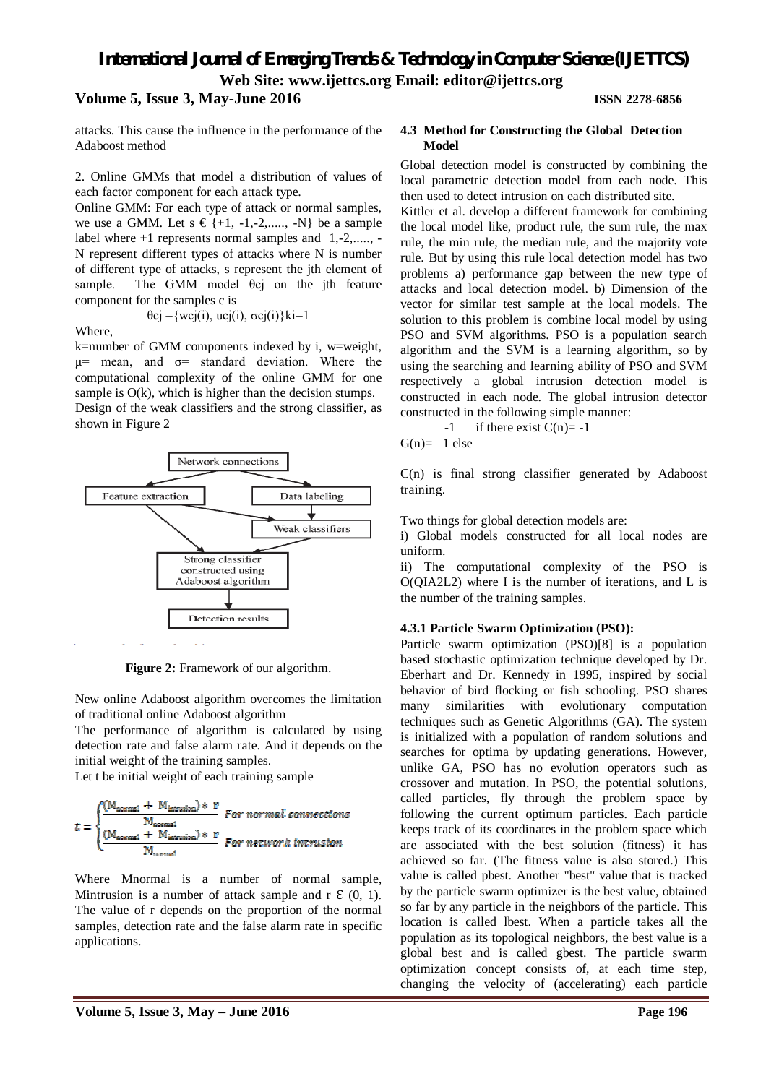# *International Journal of Emerging Trends & Technology in Computer Science (IJETTCS)* **Web Site: www.ijettcs.org Email: editor@ijettcs.org**

#### **Volume 5, Issue 3, May-June 2016 ISSN 2278-6856**

attacks. This cause the influence in the performance of the Adaboost method

2. Online GMMs that model a distribution of values of each factor component for each attack type.

Online GMM: For each type of attack or normal samples, we use a GMM. Let  $s \in \{+1, -1, -2, \dots, -N\}$  be a sample label where +1 represents normal samples and 1,-2,....., - N represent different types of attacks where N is number of different type of attacks, s represent the jth element of sample. The GMM model θcj on the jth feature component for the samples c is  $\theta$ cj ={wcj(i), ucj(i),  $\sigma$ cj(i)}ki=1

Where,

k=number of GMM components indexed by i, w=weight,  $\mu$ = mean, and  $\sigma$ = standard deviation. Where the computational complexity of the online GMM for one sample is  $O(k)$ , which is higher than the decision stumps. Design of the weak classifiers and the strong classifier, as shown in Figure 2



**Figure 2:** Framework of our algorithm.

New online Adaboost algorithm overcomes the limitation of traditional online Adaboost algorithm

The performance of algorithm is calculated by using detection rate and false alarm rate. And it depends on the initial weight of the training samples.

Let t be initial weight of each training sample

$$
t = \begin{cases} \frac{(M_{\text{normal}} + M_{\text{inversion}}) * \mathbf{r}}{M_{\text{normal}}} & \text{for normal connections} \\ \frac{(M_{\text{normal}} + M_{\text{inversion}}) * \mathbf{r}}{M_{\text{normal}}} & \text{for network intmission} \end{cases}
$$

Where Mnormal is a number of normal sample, Mintrusion is a number of attack sample and  $r \in (0, 1)$ . The value of r depends on the proportion of the normal samples, detection rate and the false alarm rate in specific applications.

#### **4.3 Method for Constructing the Global Detection Model**

Global detection model is constructed by combining the local parametric detection model from each node. This then used to detect intrusion on each distributed site.

Kittler et al. develop a different framework for combining the local model like, product rule, the sum rule, the max rule, the min rule, the median rule, and the majority vote rule. But by using this rule local detection model has two problems a) performance gap between the new type of attacks and local detection model. b) Dimension of the vector for similar test sample at the local models. The solution to this problem is combine local model by using PSO and SVM algorithms. PSO is a population search algorithm and the SVM is a learning algorithm, so by using the searching and learning ability of PSO and SVM respectively a global intrusion detection model is constructed in each node. The global intrusion detector constructed in the following simple manner:

-1 if there exist 
$$
C(n) = -1
$$

$$
G(n)= 1 else
$$

C(n) is final strong classifier generated by Adaboost training.

Two things for global detection models are:

i) Global models constructed for all local nodes are uniform.

ii) The computational complexity of the PSO is O(QIA2L2) where I is the number of iterations, and L is the number of the training samples.

#### **4.3.1 Particle Swarm Optimization (PSO):**

Particle swarm optimization (PSO)[8] is a population based stochastic optimization technique developed by Dr. Eberhart and Dr. Kennedy in 1995, inspired by social behavior of bird flocking or fish schooling. PSO shares many similarities with evolutionary computation techniques such as Genetic Algorithms (GA). The system is initialized with a population of random solutions and searches for optima by updating generations. However, unlike GA, PSO has no evolution operators such as crossover and mutation. In PSO, the potential solutions, called particles, fly through the problem space by following the current optimum particles. Each particle keeps track of its coordinates in the problem space which are associated with the best solution (fitness) it has achieved so far. (The fitness value is also stored.) This value is called pbest. Another "best" value that is tracked by the particle swarm optimizer is the best value, obtained so far by any particle in the neighbors of the particle. This location is called lbest. When a particle takes all the population as its topological neighbors, the best value is a global best and is called gbest. The particle swarm optimization concept consists of, at each time step, changing the velocity of (accelerating) each particle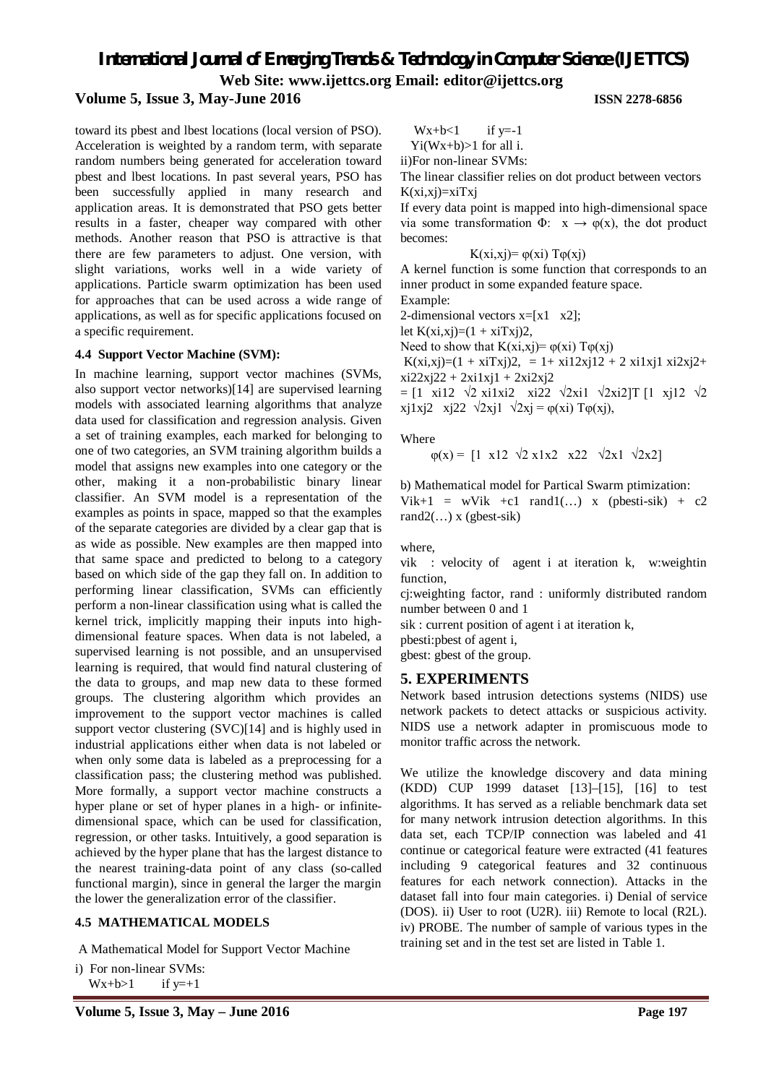*International Journal of Emerging Trends & Technology in Computer Science (IJETTCS)*

**Web Site: www.ijettcs.org Email: editor@ijettcs.org** 

### **Volume 5, Issue 3, May-June 2016 ISSN 2278-6856**

toward its pbest and lbest locations (local version of PSO). Acceleration is weighted by a random term, with separate random numbers being generated for acceleration toward pbest and lbest locations. In past several years, PSO has been successfully applied in many research and application areas. It is demonstrated that PSO gets better results in a faster, cheaper way compared with other methods. Another reason that PSO is attractive is that there are few parameters to adjust. One version, with slight variations, works well in a wide variety of applications. Particle swarm optimization has been used for approaches that can be used across a wide range of applications, as well as for specific applications focused on a specific requirement.

#### **4.4 Support Vector Machine (SVM):**

In machine learning, support vector machines (SVMs, also support vector networks)[14] are supervised learning models with associated learning algorithms that analyze data used for classification and regression analysis. Given a set of training examples, each marked for belonging to one of two categories, an SVM training algorithm builds a model that assigns new examples into one category or the other, making it a non-probabilistic binary linear classifier. An SVM model is a representation of the examples as points in space, mapped so that the examples of the separate categories are divided by a clear gap that is as wide as possible. New examples are then mapped into that same space and predicted to belong to a category based on which side of the gap they fall on. In addition to performing linear classification, SVMs can efficiently perform a non-linear classification using what is called the kernel trick, implicitly mapping their inputs into highdimensional feature spaces. When data is not labeled, a supervised learning is not possible, and an unsupervised learning is required, that would find natural clustering of the data to groups, and map new data to these formed groups. The clustering algorithm which provides an improvement to the support vector machines is called support vector clustering (SVC)[14] and is highly used in industrial applications either when data is not labeled or when only some data is labeled as a preprocessing for a classification pass; the clustering method was published. More formally, a support vector machine constructs a hyper plane or set of hyper planes in a high- or infinitedimensional space, which can be used for classification, regression, or other tasks. Intuitively, a good separation is achieved by the hyper plane that has the largest distance to the nearest training-data point of any class (so-called functional margin), since in general the larger the margin the lower the generalization error of the classifier.

#### **4.5 MATHEMATICAL MODELS**

A Mathematical Model for Support Vector Machine

i) For non-linear SVMs:  $Wx+b>1$  if  $y=+1$ 

 $Wx+b<1$  if  $y=-1$  $Yi(Wx+b) > 1$  for all i.

ii)For non-linear SVMs:

The linear classifier relies on dot product between vectors  $K(xi,xi)=xiTxi$ 

If every data point is mapped into high-dimensional space via some transformation  $\Phi$ :  $x \to \varphi(x)$ , the dot product becomes:

K(xi,xj)= φ(xi) Tφ(xj)

A kernel function is some function that corresponds to an inner product in some expanded feature space.

Example:

2-dimensional vectors  $x=[x1 \ x2];$ 

let  $K(xi,xj)=(1 + xiTxj)2$ , Need to show that  $K(x*i*,*xi*) =  $\varphi$ (*xi*)  $T\varphi$ (*xi*)$ 

K(xi,xj)=(1 + xiTxj)2, = 1+ xi12xj12 + 2 xi1xj1 xi2xj2+  $xi22xj22 + 2xi1xj1 + 2xi2xj2$ 

 $= [1 \text{ xi12 } \sqrt{2} \text{ xi1xi2 } \text{ xi22 } \sqrt{2} \text{ xi1 } \sqrt{2} \text{ xi2}]$   $\text{T} [1 \text{ xi12 } \sqrt{2} \text{ xi2 } \text{ xi12 } \sqrt{2} \text{ xi1 } \sqrt{2} \text{ xi2 } \sqrt{2} \text{ xi12 } \sqrt{2} \text{ xi12 } \sqrt{2} \text{ xi12 } \sqrt{2} \text{ xi12 } \sqrt{2} \text{ xi12 } \sqrt{2} \text{ xi12 } \sqrt{2} \text{ xi12 } \sqrt{2} \text{ xi$ xj1xj2 xj22  $\sqrt{2}$ xj1  $\sqrt{2}$ xj =  $\varphi$ (xi) T $\varphi$ (xj),

Where

 $\varphi(x) = [1 \ x12 \ \sqrt{2} \ x1x2 \ x22 \ \sqrt{2} \ x1 \ \sqrt{2} \ x2]$ 

b) Mathematical model for Partical Swarm ptimization: Vik+1 =  $wV$ ik +c1 rand1(...) x (pbesti-sik) + c2 rand $2(\ldots)$  x (gbest-sik)

where,

vik : velocity of agent i at iteration k, w:weightin function,

cj:weighting factor, rand : uniformly distributed random number between 0 and 1

sik : current position of agent i at iteration k,

pbesti:pbest of agent i,

gbest: gbest of the group.

#### **5. EXPERIMENTS**

Network based intrusion detections systems (NIDS) use network packets to detect attacks or suspicious activity. NIDS use a network adapter in promiscuous mode to monitor traffic across the network.

We utilize the knowledge discovery and data mining (KDD) CUP 1999 dataset [13]–[15], [16] to test algorithms. It has served as a reliable benchmark data set for many network intrusion detection algorithms. In this data set, each TCP/IP connection was labeled and 41 continue or categorical feature were extracted (41 features including 9 categorical features and 32 continuous features for each network connection). Attacks in the dataset fall into four main categories. i) Denial of service (DOS). ii) User to root (U2R). iii) Remote to local (R2L). iv) PROBE. The number of sample of various types in the training set and in the test set are listed in Table 1.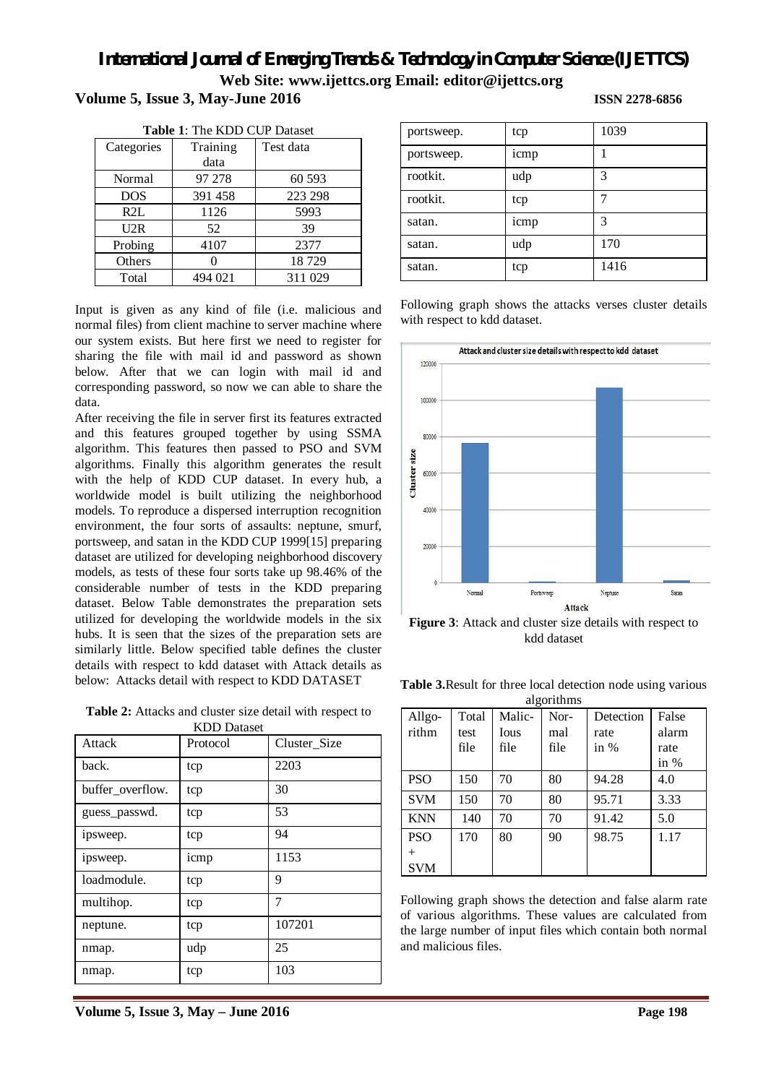# *International Journal of Emerging Trends & Technology in Computer Science (IJETTCS)* **Web Site: www.ijettcs.org Email: editor@ijettcs.org Volume 5, Issue 3, May-June 2016 ISSN 2278-6856**

| Table 1: The KDD CUP Dataset |          |           |  |  |  |
|------------------------------|----------|-----------|--|--|--|
| Categories                   | Training | Test data |  |  |  |
|                              | data     |           |  |  |  |
| Normal                       | 97 278   | 60 593    |  |  |  |
| <b>DOS</b>                   | 391 458  | 223 298   |  |  |  |
| R2L                          | 1126     | 5993      |  |  |  |
| U2R                          | 52       | 39        |  |  |  |
| Probing                      | 4107     | 2377      |  |  |  |
| Others                       |          | 18729     |  |  |  |
| Total                        | 494 021  | 311 029   |  |  |  |

Input is given as any kind of file (i.e. malicious and normal files) from client machine to server machine where our system exists. But here first we need to register for sharing the file with mail id and password as shown below. After that we can login with mail id and corresponding password, so now we can able to share the data.

After receiving the file in server first its features extracted and this features grouped together by using SSMA algorithm. This features then passed to PSO and SVM algorithms. Finally this algorithm generates the result with the help of KDD CUP dataset. In every hub, a worldwide model is built utilizing the neighborhood models. To reproduce a dispersed interruption recognition environment, the four sorts of assaults: neptune, smurf, portsweep, and satan in the KDD CUP 1999[15] preparing dataset are utilized for developing neighborhood discovery models, as tests of these four sorts take up 98.46% of the considerable number of tests in the KDD preparing dataset. Below Table demonstrates the preparation sets utilized for developing the worldwide models in the six hubs. It is seen that the sizes of the preparation sets are similarly little. Below specified table defines the cluster details with respect to kdd dataset with Attack details as below: Attacks detail with respect to KDD DATASET

**Table 2:** Attacks and cluster size detail with respect to  $KDPD$ 

| Attack           | Protocol | Cluster_Size |  |
|------------------|----------|--------------|--|
| back.            | tcp      | 2203         |  |
| buffer_overflow. | tcp      | 30           |  |
| guess_passwd.    | tcp      | 53           |  |
| ipsweep.         | tcp      | 94           |  |
| ipsweep.         | icmp     | 1153         |  |
| loadmodule.      | tcp      | 9            |  |
| multihop.        | tcp      | 7            |  |
| neptune.         | tcp      | 107201       |  |
| nmap.            | udp      | 25           |  |
| nmap.            | tcp      | 103          |  |

| portsweep. | tcp  | 1039 |
|------------|------|------|
| portsweep. | icmp |      |
| rootkit.   | udp  | 3    |
| rootkit.   | tcp  | 7    |
| satan.     | icmp | 3    |
| satan.     | udp  | 170  |
| satan.     | tcp  | 1416 |

Following graph shows the attacks verses cluster details with respect to kdd dataset.



**Figure 3**: Attack and cluster size details with respect to kdd dataset

| algorithms |       |        |      |           |        |  |  |
|------------|-------|--------|------|-----------|--------|--|--|
| Allgo-     | Total | Malic- | Nor- | Detection | False  |  |  |
| rithm      | test  | Ious   | mal  | rate      | alarm  |  |  |
|            | file  | file   | file | in $%$    | rate   |  |  |
|            |       |        |      |           | in $%$ |  |  |
| <b>PSO</b> | 150   | 70     | 80   | 94.28     | 4.0    |  |  |
| <b>SVM</b> | 150   | 70     | 80   | 95.71     | 3.33   |  |  |
| <b>KNN</b> | 140   | 70     | 70   | 91.42     | 5.0    |  |  |
| <b>PSO</b> | 170   | 80     | 90   | 98.75     | 1.17   |  |  |
| $^{+}$     |       |        |      |           |        |  |  |
| <b>SVM</b> |       |        |      |           |        |  |  |

Following graph shows the detection and false alarm rate of various algorithms. These values are calculated from the large number of input files which contain both normal and malicious files.